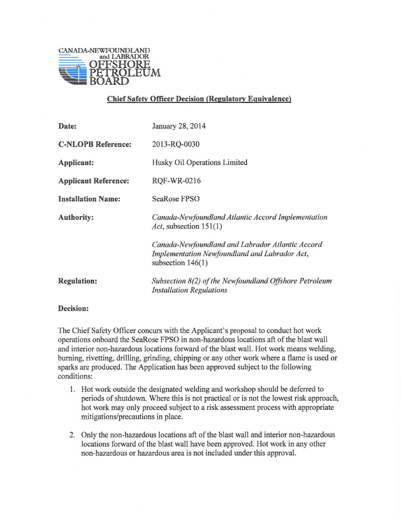

## **Chief Safety Officer Decision (Regulatory Equivalence)**

| Date:                       | January 28, 2014                                                                                                         |
|-----------------------------|--------------------------------------------------------------------------------------------------------------------------|
| <b>C-NLOPB Reference:</b>   | 2013-RQ-0030                                                                                                             |
| Applicant:                  | Husky Oil Operations Limited                                                                                             |
| <b>Applicant Reference:</b> | RQF-WR-0216                                                                                                              |
| <b>Installation Name:</b>   | SeaRose FPSO                                                                                                             |
| <b>Authority:</b>           | Canada-Newfoundland Atlantic Accord Implementation<br>Act, subsection $151(1)$                                           |
|                             | Canada-Newfoundland and Labrador Atlantic Accord<br>Implementation Newfoundland and Labrador Act,<br>subsection $146(1)$ |
| <b>Regulation:</b>          | Subsection 8(2) of the Newfoundland Offshore Petroleum<br><b>Installation Regulations</b>                                |

## **Decision:**

The Chief Safety Officer concurs with the Applicant's proposal to conduct hot work operations onboard the SeaRose FPSO in non-hazardous locations aft of the blast wall and interior non-hazardous locations forward of the blast wall. Hot work means welding, burning, rivetting, drilling, grinding, chipping or any other work where a flame is used or sparks are produced. The Application has been approved subject to the following conditions:

- 1. Hot work outside the designated welding and workshop should be deferred to periods of shutdown. Where this is not practical or is not the lowest risk approach, hot work may only proceed subject to a risk assessment process with appropriate mitigations/precautions in place.
- 2. Only the non-hazardous locations aft of the blast wall and interior non-hazardous locations forward of the blast wall have been approved. Hot work in any other non-hazardous or hazardous area is not included under this approval.